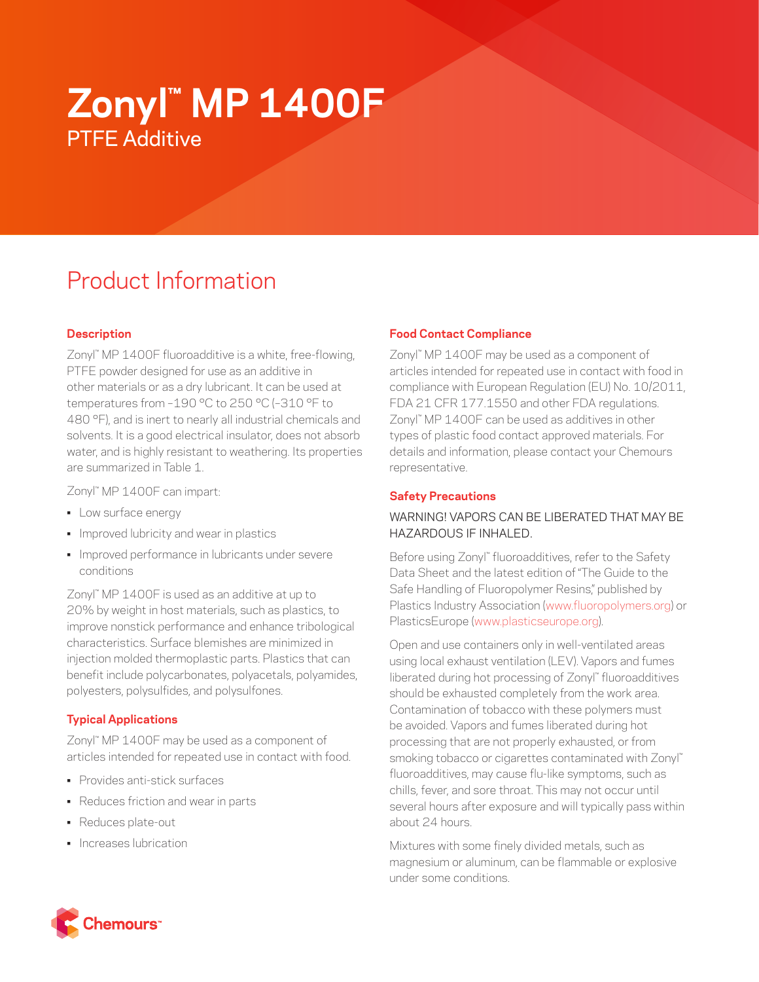# **Zonyl™ MP 1400F** PTFE Additive

# Product Information

# **Description**

Zonyl™ MP 1400F fluoroadditive is a white, free-flowing, PTFE powder designed for use as an additive in other materials or as a dry lubricant. It can be used at temperatures from –190 °C to 250 °C (–310 °F to 480 °F), and is inert to nearly all industrial chemicals and solvents. It is a good electrical insulator, does not absorb water, and is highly resistant to weathering. Its properties are summarized in Table 1.

Zonyl™ MP 1400F can impart:

- Low surface energy
- Improved lubricity and wear in plastics
- Improved performance in lubricants under severe conditions

Zonyl™ MP 1400F is used as an additive at up to 20% by weight in host materials, such as plastics, to improve nonstick performance and enhance tribological characteristics. Surface blemishes are minimized in injection molded thermoplastic parts. Plastics that can benefit include polycarbonates, polyacetals, polyamides, polyesters, polysulfides, and polysulfones.

## **Typical Applications**

Zonyl™ MP 1400F may be used as a component of articles intended for repeated use in contact with food.

- Provides anti-stick surfaces
- Reduces friction and wear in parts
- Reduces plate-out
- Increases lubrication

## **Food Contact Compliance**

Zonyl™ MP 1400F may be used as a component of articles intended for repeated use in contact with food in compliance with European Regulation (EU) No. 10/2011, FDA 21 CFR 177.1550 and other FDA regulations. Zonyl™ MP 1400F can be used as additives in other types of plastic food contact approved materials. For details and information, please contact your Chemours representative.

#### **Safety Precautions**

## WARNING! VAPORS CAN BE LIBERATED THAT MAY BE HAZARDOUS IF INHALED.

Before using Zonyl™ fluoroadditives, refer to the Safety Data Sheet and the latest edition of "The Guide to the Safe Handling of Fluoropolymer Resins," published by Plastics Industry Association [\(www.fluoropolymers.org](http://www.fluoropolymers.org)) or PlasticsEurope ([www.plasticseurope.org](http://www.plasticseurope.org)).

Open and use containers only in well-ventilated areas using local exhaust ventilation (LEV). Vapors and fumes liberated during hot processing of Zonyl™ fluoroadditives should be exhausted completely from the work area. Contamination of tobacco with these polymers must be avoided. Vapors and fumes liberated during hot processing that are not properly exhausted, or from smoking tobacco or cigarettes contaminated with Zonyl™ fluoroadditives, may cause flu-like symptoms, such as chills, fever, and sore throat. This may not occur until several hours after exposure and will typically pass within about 24 hours.

Mixtures with some finely divided metals, such as magnesium or aluminum, can be flammable or explosive under some conditions.